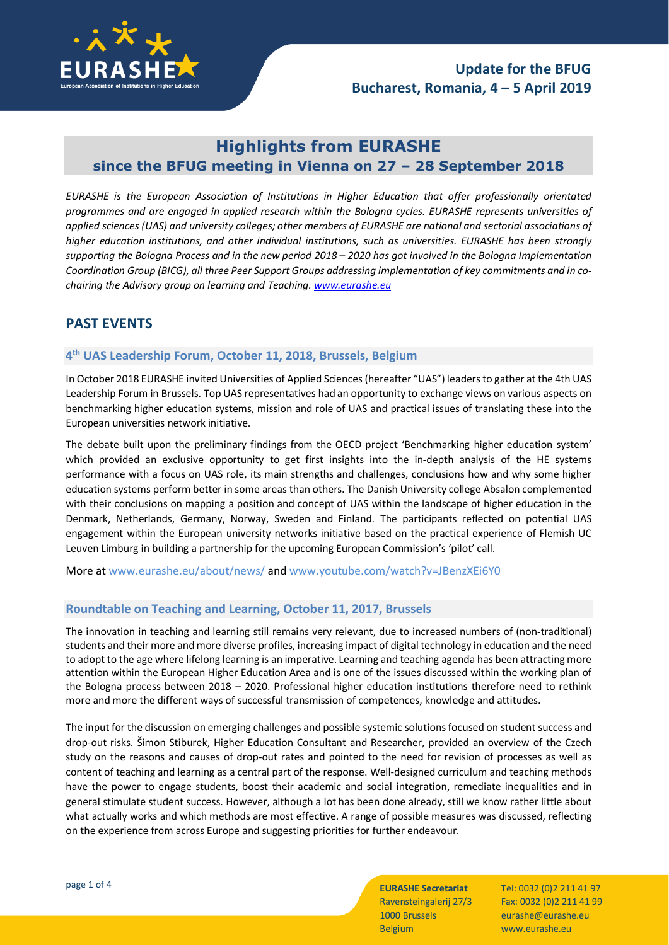

# **Highlights from EURASHE since the BFUG meeting in Vienna on 27 – 28 September 2018**

*EURASHE is the European Association of Institutions in Higher Education that offer professionally orientated programmes and are engaged in applied research within the Bologna cycles. EURASHE represents universities of applied sciences (UAS) and university colleges; other members of EURASHE are national and sectorial associations of higher education institutions, and other individual institutions, such as universities. EURASHE has been strongly supporting the Bologna Process and in the new period 2018 – 2020 has got involved in the Bologna Implementation Coordination Group (BICG), all three Peer Support Groups addressing implementation of key commitments and in cochairing the Advisory group on learning and Teaching. www.eurashe.eu*

## **PAST EVENTS**

### **4th UAS Leadership Forum, October 11, 2018, Brussels, Belgium**

In October 2018 EURASHE invited Universities of Applied Sciences (hereafter "UAS") leaders to gather at the 4th UAS Leadership Forum in Brussels. Top UAS representatives had an opportunity to exchange views on various aspects on benchmarking higher education systems, mission and role of UAS and practical issues of translating these into the European universities network initiative.

The debate built upon the preliminary findings from the OECD project 'Benchmarking higher education system' which provided an exclusive opportunity to get first insights into the in-depth analysis of the HE systems performance with a focus on UAS role, its main strengths and challenges, conclusions how and why some higher education systems perform better in some areas than others. The Danish University college Absalon complemented with their conclusions on mapping a position and concept of UAS within the landscape of higher education in the Denmark, Netherlands, Germany, Norway, Sweden and Finland. The participants reflected on potential UAS engagement within the European university networks initiative based on the practical experience of Flemish UC Leuven Limburg in building a partnership for the upcoming European Commission's 'pilot' call.

More at www.eurashe.eu/about/news/ and www.youtube.com/watch?v=JBenzXEi6Y0

### **Roundtable on Teaching and Learning, October 11, 2017, Brussels**

The innovation in teaching and learning still remains very relevant, due to increased numbers of (non-traditional) students and their more and more diverse profiles, increasing impact of digital technology in education and the need to adopt to the age where lifelong learning is an imperative. Learning and teaching agenda has been attracting more attention within the European Higher Education Area and is one of the issues discussed within the working plan of the Bologna process between 2018 – 2020. Professional higher education institutions therefore need to rethink more and more the different ways of successful transmission of competences, knowledge and attitudes.

The input for the discussion on emerging challenges and possible systemic solutions focused on student success and drop-out risks. Šimon Stiburek, Higher Education Consultant and Researcher, provided an overview of the Czech study on the reasons and causes of drop-out rates and pointed to the need for revision of processes as well as content of teaching and learning as a central part of the response. Well-designed curriculum and teaching methods have the power to engage students, boost their academic and social integration, remediate inequalities and in general stimulate student success. However, although a lot has been done already, still we know rather little about what actually works and which methods are most effective. A range of possible measures was discussed, reflecting on the experience from across Europe and suggesting priorities for further endeavour.

Belgium www.eurashe.eu

page 1 of 4 **EURASHE Secretariat** Tel: 0032 (0)2 211 41 97 Ravensteingalerij 27/3 Fax: 0032 (0)2 211 41 99 1000 Brussels eurashe@eurashe.eu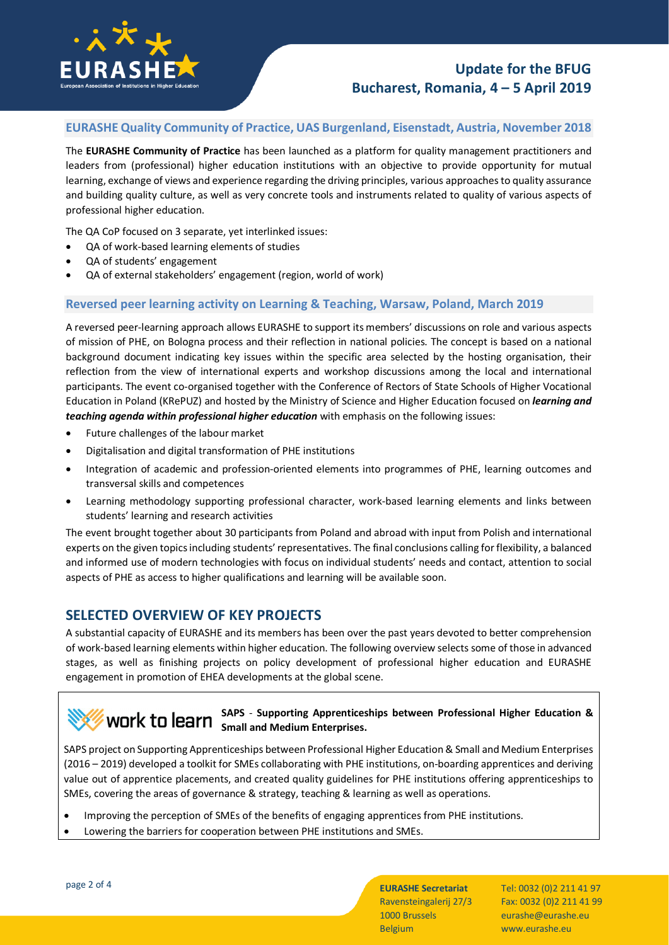

## **Update for the BFUG Bucharest, Romania, 4 – 5 April 2019**

## **EURASHE Quality Community of Practice, UAS Burgenland, Eisenstadt, Austria, November 2018**

The **EURASHE Community of Practice** has been launched as a platform for quality management practitioners and leaders from (professional) higher education institutions with an objective to provide opportunity for mutual learning, exchange of views and experience regarding the driving principles, various approaches to quality assurance and building quality culture, as well as very concrete tools and instruments related to quality of various aspects of professional higher education.

The QA CoP focused on 3 separate, yet interlinked issues:

- · QA of work-based learning elements of studies
- QA of students' engagement
- QA of external stakeholders' engagement (region, world of work)

#### **Reversed peer learning activity on Learning & Teaching, Warsaw, Poland, March 2019**

A reversed peer-learning approach allows EURASHE to support its members' discussions on role and various aspects of mission of PHE, on Bologna process and their reflection in national policies. The concept is based on a national background document indicating key issues within the specific area selected by the hosting organisation, their reflection from the view of international experts and workshop discussions among the local and international participants. The event co-organised together with the Conference of Rectors of State Schools of Higher Vocational Education in Poland (KRePUZ) and hosted by the Ministry of Science and Higher Education focused on *learning and teaching agenda within professional higher education* with emphasis on the following issues:

- · Future challenges of the labour market
- · Digitalisation and digital transformation of PHE institutions
- Integration of academic and profession-oriented elements into programmes of PHE, learning outcomes and transversal skills and competences
- · Learning methodology supporting professional character, work-based learning elements and links between students' learning and research activities

The event brought together about 30 participants from Poland and abroad with input from Polish and international experts on the given topicsincluding students' representatives. The final conclusions calling for flexibility, a balanced and informed use of modern technologies with focus on individual students' needs and contact, attention to social aspects of PHE as access to higher qualifications and learning will be available soon.

### **SELECTED OVERVIEW OF KEY PROJECTS**

A substantial capacity of EURASHE and its members has been over the past years devoted to better comprehension of work-based learning elements within higher education. The following overview selects some of those in advanced stages, as well as finishing projects on policy development of professional higher education and EURASHE engagement in promotion of EHEA developments at the global scene.

## **SAPS** - **Supporting Apprenticeships between Professional Higher Education & Small and Medium Enterprises.**

SAPS project on Supporting Apprenticeships between Professional Higher Education & Small and Medium Enterprises (2016 – 2019) developed a toolkit for SMEs collaborating with PHE institutions, on-boarding apprentices and deriving value out of apprentice placements, and created quality guidelines for PHE institutions offering apprenticeships to SMEs, covering the areas of governance & strategy, teaching & learning as well as operations.

- · Improving the perception of SMEs of the benefits of engaging apprentices from PHE institutions.
- · Lowering the barriers for cooperation between PHE institutions and SMEs.

1000 Brussels eurashe@eurashe.eu Belgium www.eurashe.eu

page 2 of 4 **EURASHE Secretariat** Tel: 0032 (0)2 211 41 97 Ravensteingalerij 27/3 Fax: 0032 (0)2 211 41 99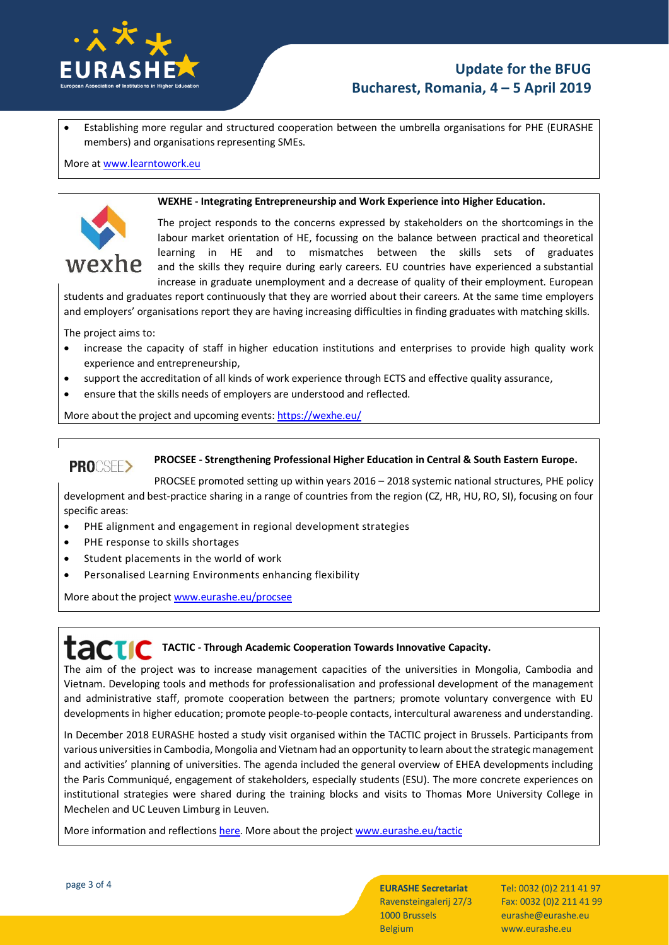

## **Update for the BFUG Bucharest, Romania, 4 – 5 April 2019**

Establishing more regular and structured cooperation between the umbrella organisations for PHE (EURASHE members) and organisations representing SMEs.

More at www.learntowork.eu





The project responds to the concerns expressed by stakeholders on the shortcomings in the labour market orientation of HE, focussing on the balance between practical and theoretical learning in HE and to mismatches between the skills sets of graduates and the skills they require during early careers. EU countries have experienced a substantial increase in graduate unemployment and a decrease of quality of their employment. European

students and graduates report continuously that they are worried about their careers. At the same time employers and employers' organisations report they are having increasing difficulties in finding graduates with matching skills.

The project aims to:

- · increase the capacity of staff in higher education institutions and enterprises to provide high quality work experience and entrepreneurship,
- · support the accreditation of all kinds of work experience through ECTS and effective quality assurance,
- ensure that the skills needs of employers are understood and reflected.

More about the project and upcoming events: https://wexhe.eu/

#### **PROCSEE - Strengthening Professional Higher Education in Central & South Eastern Europe. PROCSEE>**

PROCSEE promoted setting up within years 2016 – 2018 systemic national structures, PHE policy development and best-practice sharing in a range of countries from the region (CZ, HR, HU, RO, SI), focusing on four specific areas:

- · PHE alignment and engagement in regional development strategies
- PHE response to skills shortages
- Student placements in the world of work
- Personalised Learning Environments enhancing flexibility

More about the project www.eurashe.eu/procsee

# **TACTIC** TACTIC - Through Academic Cooperation Towards Innovative Capacity.

The aim of the project was to increase management capacities of the universities in Mongolia, Cambodia and Vietnam. Developing tools and methods for professionalisation and professional development of the management and administrative staff, promote cooperation between the partners; promote voluntary convergence with EU developments in higher education; promote people-to-people contacts, intercultural awareness and understanding.

In December 2018 EURASHE hosted a study visit organised within the TACTIC project in Brussels. Participants from various universities in Cambodia, Mongolia and Vietnam had an opportunity to learn about the strategic management and activities' planning of universities. The agenda included the general overview of EHEA developments including the Paris Communiqué, engagement of stakeholders, especially students (ESU). The more concrete experiences on institutional strategies were shared during the training blocks and visits to Thomas More University College in Mechelen and UC Leuven Limburg in Leuven.

More information and reflections here. More about the project www.eurashe.eu/tactic

1000 Brussels eurashe@eurashe.eu Belgium www.eurashe.eu

page 3 of 4 **EURASHE Secretariat** Tel: 0032 (0)2 211 41 97 Ravensteingalerij 27/3 Fax: 0032 (0)2 211 41 99